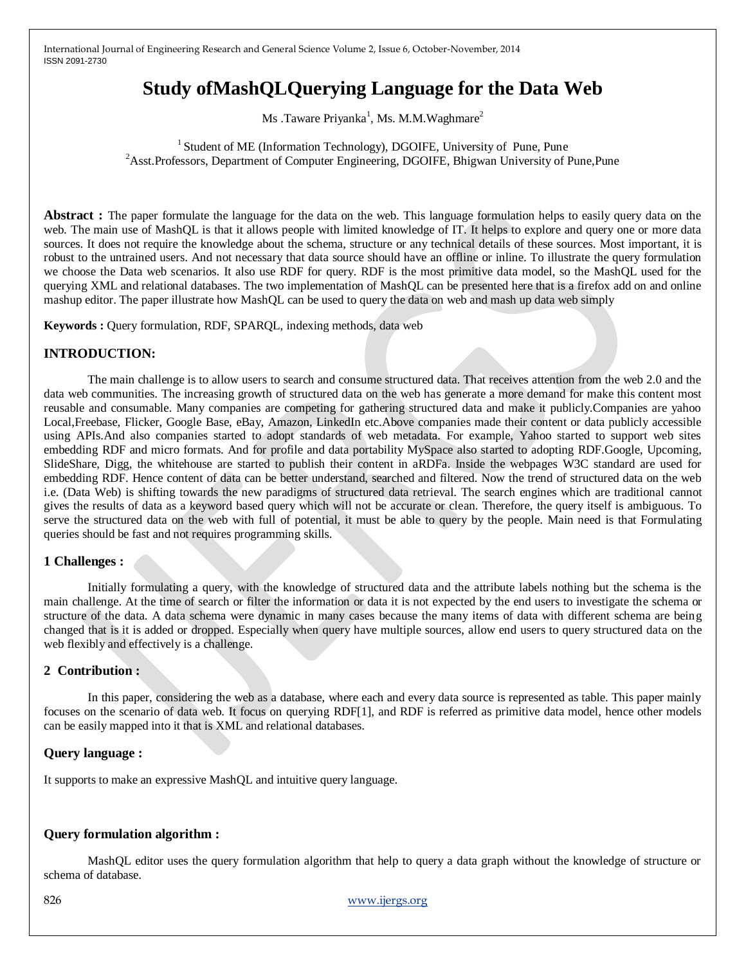# **Study ofMashQLQuerying Language for the Data Web**

Ms .Taware Priyanka<sup>1</sup>, Ms. M.M.Waghmare<sup>2</sup>

 $<sup>1</sup>$  Student of ME (Information Technology), DGOIFE, University of Pune, Pune</sup> <sup>2</sup>Asst.Professors, Department of Computer Engineering, DGOIFE, Bhigwan University of Pune,Pune

**Abstract :** The paper formulate the language for the data on the web. This language formulation helps to easily query data on the web. The main use of MashQL is that it allows people with limited knowledge of IT. It helps to explore and query one or more data sources. It does not require the knowledge about the schema, structure or any technical details of these sources. Most important, it is robust to the untrained users. And not necessary that data source should have an offline or inline. To illustrate the query formulation we choose the Data web scenarios. It also use RDF for query. RDF is the most primitive data model, so the MashQL used for the querying XML and relational databases. The two implementation of MashQL can be presented here that is a firefox add on and online mashup editor. The paper illustrate how MashQL can be used to query the data on web and mash up data web simply

**Keywords :** Query formulation, RDF, SPARQL, indexing methods, data web

# **INTRODUCTION:**

The main challenge is to allow users to search and consume structured data. That receives attention from the web 2.0 and the data web communities. The increasing growth of structured data on the web has generate a more demand for make this content most reusable and consumable. Many companies are competing for gathering structured data and make it publicly.Companies are yahoo Local,Freebase, Flicker, Google Base, eBay, Amazon, LinkedIn etc.Above companies made their content or data publicly accessible using APIs.And also companies started to adopt standards of web metadata. For example, Yahoo started to support web sites embedding RDF and micro formats. And for profile and data portability MySpace also started to adopting RDF.Google, Upcoming, SlideShare, Digg, the whitehouse are started to publish their content in aRDFa. Inside the webpages W3C standard are used for embedding RDF. Hence content of data can be better understand, searched and filtered. Now the trend of structured data on the web i.e. (Data Web) is shifting towards the new paradigms of structured data retrieval. The search engines which are traditional cannot gives the results of data as a keyword based query which will not be accurate or clean. Therefore, the query itself is ambiguous. To serve the structured data on the web with full of potential, it must be able to query by the people. Main need is that Formulating queries should be fast and not requires programming skills.

### **1 Challenges :**

Initially formulating a query, with the knowledge of structured data and the attribute labels nothing but the schema is the main challenge. At the time of search or filter the information or data it is not expected by the end users to investigate the schema or structure of the data. A data schema were dynamic in many cases because the many items of data with different schema are being changed that is it is added or dropped. Especially when query have multiple sources, allow end users to query structured data on the web flexibly and effectively is a challenge.

## **2 Contribution :**

In this paper, considering the web as a database, where each and every data source is represented as table. This paper mainly focuses on the scenario of data web. It focus on querying RDF[1], and RDF is referred as primitive data model, hence other models can be easily mapped into it that is XML and relational databases.

### **Query language :**

It supports to make an expressive MashQL and intuitive query language.

### **Query formulation algorithm :**

MashQL editor uses the query formulation algorithm that help to query a data graph without the knowledge of structure or schema of database.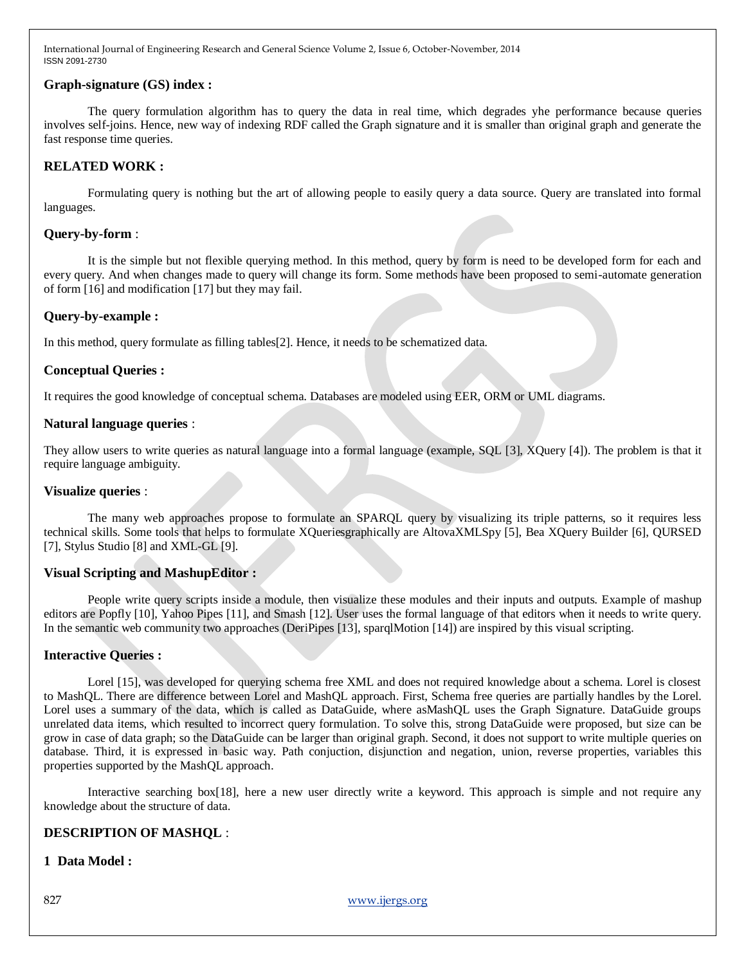## **Graph-signature (GS) index :**

The query formulation algorithm has to query the data in real time, which degrades yhe performance because queries involves self-joins. Hence, new way of indexing RDF called the Graph signature and it is smaller than original graph and generate the fast response time queries.

# **RELATED WORK :**

Formulating query is nothing but the art of allowing people to easily query a data source. Query are translated into formal languages.

### **Query-by-form** :

It is the simple but not flexible querying method. In this method, query by form is need to be developed form for each and every query. And when changes made to query will change its form. Some methods have been proposed to semi-automate generation of form [16] and modification [17] but they may fail.

## **Query-by-example :**

In this method, query formulate as filling tables[2]. Hence, it needs to be schematized data.

## **Conceptual Queries :**

It requires the good knowledge of conceptual schema. Databases are modeled using EER, ORM or UML diagrams.

### **Natural language queries** :

They allow users to write queries as natural language into a formal language (example, SQL [3], XQuery [4]). The problem is that it require language ambiguity.

### **Visualize queries** :

The many web approaches propose to formulate an SPARQL query by visualizing its triple patterns, so it requires less technical skills. Some tools that helps to formulate XQueriesgraphically are AltovaXMLSpy [5], Bea XQuery Builder [6], QURSED [7], Stylus Studio [8] and XML-GL [9].

# **Visual Scripting and MashupEditor :**

People write query scripts inside a module, then visualize these modules and their inputs and outputs. Example of mashup editors are Popfly [10], Yahoo Pipes [11], and Smash [12]. User uses the formal language of that editors when it needs to write query. In the semantic web community two approaches (DeriPipes [13], sparqlMotion [14]) are inspired by this visual scripting.

### **Interactive Queries :**

Lorel [15], was developed for querying schema free XML and does not required knowledge about a schema. Lorel is closest to MashQL. There are difference between Lorel and MashQL approach. First, Schema free queries are partially handles by the Lorel. Lorel uses a summary of the data, which is called as DataGuide, where asMashQL uses the Graph Signature. DataGuide groups unrelated data items, which resulted to incorrect query formulation. To solve this, strong DataGuide were proposed, but size can be grow in case of data graph; so the DataGuide can be larger than original graph. Second, it does not support to write multiple queries on database. Third, it is expressed in basic way. Path conjuction, disjunction and negation, union, reverse properties, variables this properties supported by the MashQL approach.

Interactive searching box[18], here a new user directly write a keyword. This approach is simple and not require any knowledge about the structure of data.

# **DESCRIPTION OF MASHQL** :

## **1 Data Model :**

827 www.ijergs.org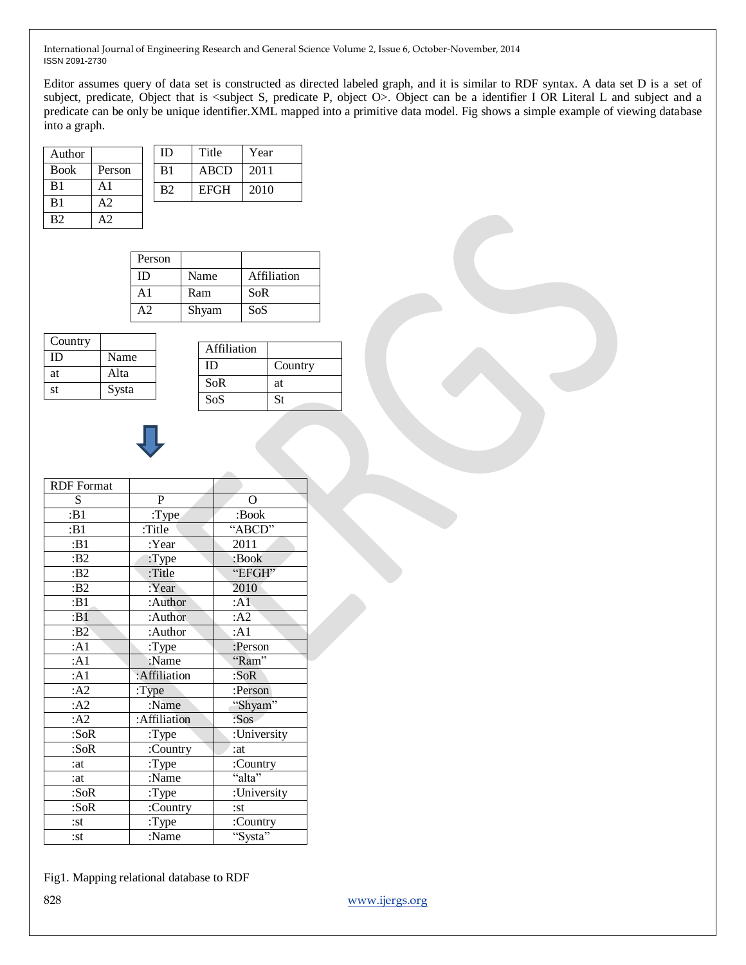Editor assumes query of data set is constructed as directed labeled graph, and it is similar to RDF syntax. A data set D is a set of subject, predicate, Object that is <subject S, predicate P, object O>. Object can be a identifier I OR Literal L and subject and a predicate can be only be unique identifier.XML mapped into a primitive data model. Fig shows a simple example of viewing database into a graph.

| Author         |        | ID             | Title       | Year |
|----------------|--------|----------------|-------------|------|
| <b>Book</b>    | Person | B1             | <b>ABCD</b> | 2011 |
| B1             | A1     | B <sub>2</sub> | <b>EFGH</b> | 2010 |
| B <sub>1</sub> | A2     |                |             |      |
| B <sub>2</sub> |        |                |             |      |

| Person |       |             |
|--------|-------|-------------|
| ID     | Name  | Affiliation |
| A1     | Ram   | SoR         |
|        | Shyam | SoS         |

| Country |       |
|---------|-------|
| Ш       | Name  |
| at      | Alta  |
| st      | Systa |

| Affiliation |           |
|-------------|-----------|
| ID          | Country   |
| <b>SoR</b>  | at        |
| SoS         | <b>St</b> |



| <b>RDF</b> Format  |              |             |
|--------------------|--------------|-------------|
| S                  | $\mathbf{P}$ | $\Omega$    |
| $\overline{B}$ :B1 | : Type       | :Book       |
| : $B1$             | :Title       | "ABCD"      |
| : $B1$             | :Year        | 2011        |
| :B2                | : Type       | :Book       |
| :B2                | :Title       | "EFGH"      |
| :B2                | :Year        | 2010        |
| :B1                | :Author      | : A1        |
| :B1                | :Author      | : A2        |
| :B2                | :Author      | : $A1$      |
| : A1               | : Type       | :Person     |
| : A1               | :Name        | "Ram"       |
| : A1               | :Affiliation | : $S$ o $R$ |
| : A2               | : Type       | :Person     |
| : A2               | :Name        | "Shyam"     |
| : A2               | :Affiliation | :Sos        |
| : SoR              | :Type        | :University |
| :SoR               | :Country     | :at         |
| :at                | : Type       | :Country    |
| :at                | :Name        | "alta"      |
| :SoR               | :Type        | :University |
| :SoR               | :Country     | :st         |
| $:$ st             | : Type       | :Country    |
| $:$ st             | :Name        | "Systa"     |
|                    |              |             |

828 www.ijergs.org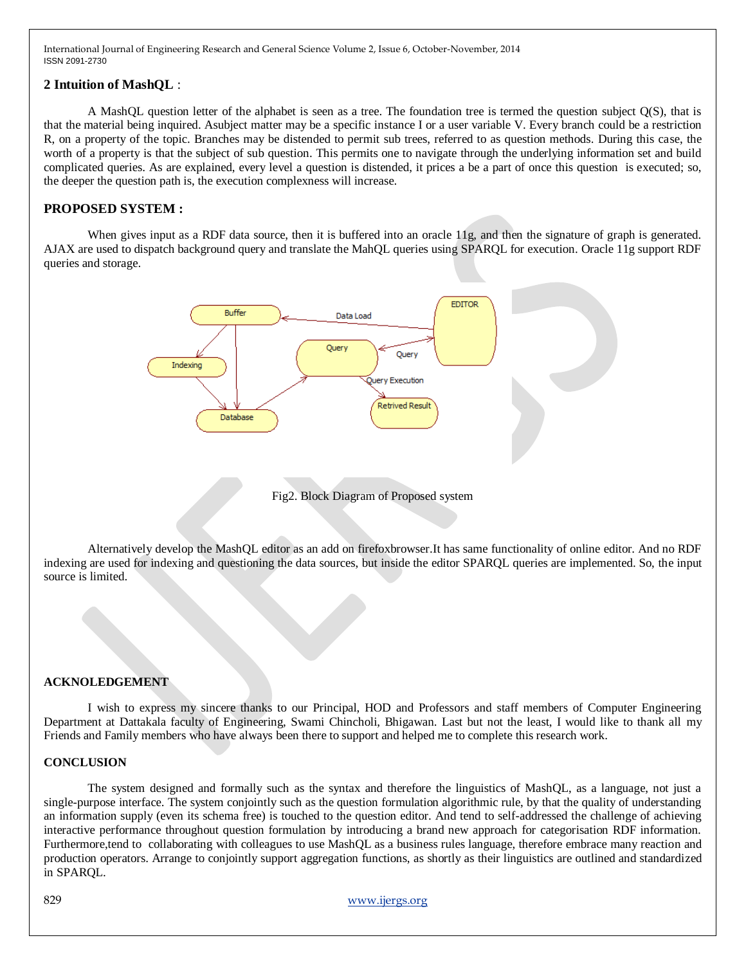## **2 Intuition of MashQL** :

A MashQL question letter of the alphabet is seen as a tree. The foundation tree is termed the question subject Q(S), that is that the material being inquired. Asubject matter may be a specific instance I or a user variable V. Every branch could be a restriction R, on a property of the topic. Branches may be distended to permit sub trees, referred to as question methods. During this case, the worth of a property is that the subject of sub question. This permits one to navigate through the underlying information set and build complicated queries. As are explained, every level a question is distended, it prices a be a part of once this question is executed; so, the deeper the question path is, the execution complexness will increase.

# **PROPOSED SYSTEM :**

When gives input as a RDF data source, then it is buffered into an oracle 11g, and then the signature of graph is generated. AJAX are used to dispatch background query and translate the MahQL queries using SPARQL for execution. Oracle 11g support RDF queries and storage.



Fig2. Block Diagram of Proposed system

Alternatively develop the MashQL editor as an add on firefoxbrowser.It has same functionality of online editor. And no RDF indexing are used for indexing and questioning the data sources, but inside the editor SPARQL queries are implemented. So, the input source is limited.

#### **ACKNOLEDGEMENT**

I wish to express my sincere thanks to our Principal, HOD and Professors and staff members of Computer Engineering Department at Dattakala faculty of Engineering, Swami Chincholi, Bhigawan. Last but not the least, I would like to thank all my Friends and Family members who have always been there to support and helped me to complete this research work.

#### **CONCLUSION**

The system designed and formally such as the syntax and therefore the linguistics of MashQL, as a language, not just a single-purpose interface. The system conjointly such as the question formulation algorithmic rule, by that the quality of understanding an information supply (even its schema free) is touched to the question editor. And tend to self-addressed the challenge of achieving interactive performance throughout question formulation by introducing a brand new approach for categorisation RDF information. Furthermore,tend to collaborating with colleagues to use MashQL as a business rules language, therefore embrace many reaction and production operators. Arrange to conjointly support aggregation functions, as shortly as their linguistics are outlined and standardized in SPARQL.